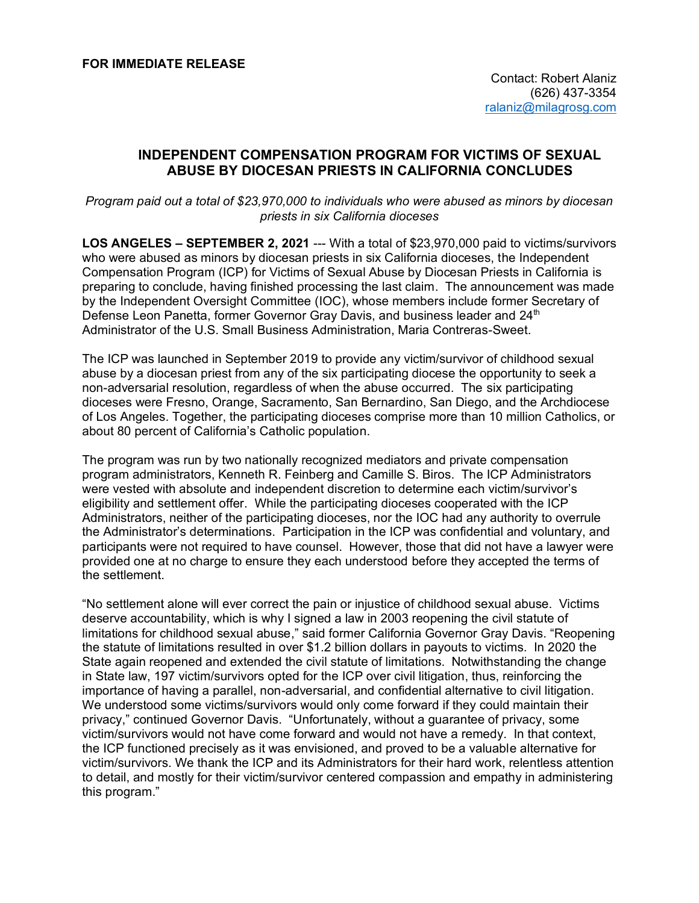## **INDEPENDENT COMPENSATION PROGRAM FOR VICTIMS OF SEXUAL ABUSE BY DIOCESAN PRIESTS IN CALIFORNIA CONCLUDES**

*Program paid out a total of \$23,970,000 to individuals who were abused as minors by diocesan priests in six California dioceses* 

**LOS ANGELES – SEPTEMBER 2, 2021** --- With a total of \$23,970,000 paid to victims/survivors who were abused as minors by diocesan priests in six California dioceses, the Independent Compensation Program (ICP) for Victims of Sexual Abuse by Diocesan Priests in California is preparing to conclude, having finished processing the last claim. The announcement was made by the Independent Oversight Committee (IOC), whose members include former Secretary of Defense Leon Panetta, former Governor Gray Davis, and business leader and 24<sup>th</sup> Administrator of the U.S. Small Business Administration, Maria Contreras-Sweet.

The ICP was launched in September 2019 to provide any victim/survivor of childhood sexual abuse by a diocesan priest from any of the six participating diocese the opportunity to seek a non-adversarial resolution, regardless of when the abuse occurred. The six participating dioceses were Fresno, Orange, Sacramento, San Bernardino, San Diego, and the Archdiocese of Los Angeles. Together, the participating dioceses comprise more than 10 million Catholics, or about 80 percent of California's Catholic population.

The program was run by two nationally recognized mediators and private compensation program administrators, Kenneth R. Feinberg and Camille S. Biros. The ICP Administrators were vested with absolute and independent discretion to determine each victim/survivor's eligibility and settlement offer. While the participating dioceses cooperated with the ICP Administrators, neither of the participating dioceses, nor the IOC had any authority to overrule the Administrator's determinations. Participation in the ICP was confidential and voluntary, and participants were not required to have counsel. However, those that did not have a lawyer were provided one at no charge to ensure they each understood before they accepted the terms of the settlement.

"No settlement alone will ever correct the pain or injustice of childhood sexual abuse. Victims deserve accountability, which is why I signed a law in 2003 reopening the civil statute of limitations for childhood sexual abuse," said former California Governor Gray Davis. "Reopening the statute of limitations resulted in over \$1.2 billion dollars in payouts to victims. In 2020 the State again reopened and extended the civil statute of limitations. Notwithstanding the change in State law, 197 victim/survivors opted for the ICP over civil litigation, thus, reinforcing the importance of having a parallel, non-adversarial, and confidential alternative to civil litigation. We understood some victims/survivors would only come forward if they could maintain their privacy," continued Governor Davis. "Unfortunately, without a guarantee of privacy, some victim/survivors would not have come forward and would not have a remedy. In that context, the ICP functioned precisely as it was envisioned, and proved to be a valuable alternative for victim/survivors. We thank the ICP and its Administrators for their hard work, relentless attention to detail, and mostly for their victim/survivor centered compassion and empathy in administering this program."